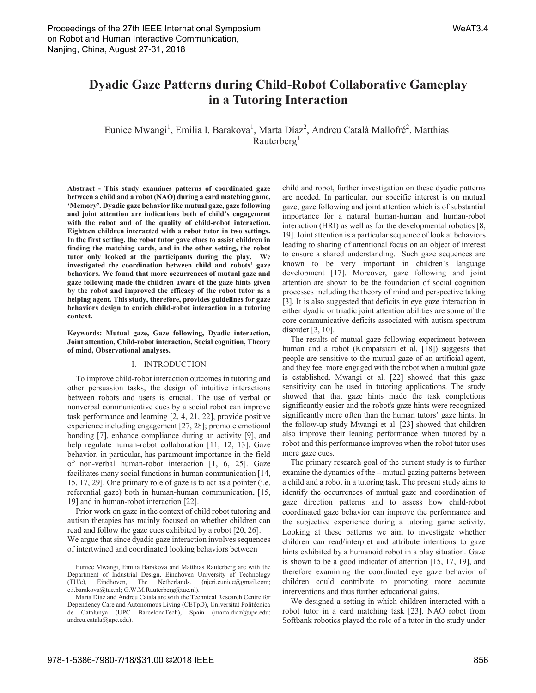# **Dyadic Gaze Patterns during Child-Robot Collaborative Gameplay in a Tutoring Interaction**

Eunice Mwangi<sup>1</sup>, Emilia I. Barakova<sup>1</sup>, Marta Díaz<sup>2</sup>, Andreu Català Mallofré<sup>2</sup>, Matthias Rauterberg<sup>1</sup>

**Abstract - This study examines patterns of coordinated gaze between a child and a robot (NAO) during a card matching game, 'Memory'. Dyadic gaze behavior like mutual gaze, gaze following and joint attention are indications both of child's engagement with the robot and of the quality of child-robot interaction. Eighteen children interacted with a robot tutor in two settings. In the first setting, the robot tutor gave clues to assist children in finding the matching cards, and in the other setting, the robot tutor only looked at the participants during the play. We investigated the coordination between child and robots' gaze behaviors. We found that more occurrences of mutual gaze and gaze following made the children aware of the gaze hints given by the robot and improved the efficacy of the robot tutor as a helping agent. This study, therefore, provides guidelines for gaze behaviors design to enrich child-robot interaction in a tutoring context.** 

**Keywords: Mutual gaze, Gaze following, Dyadic interaction, Joint attention, Child-robot interaction, Social cognition, Theory of mind, Observational analyses.** 

### I. INTRODUCTION

To improve child-robot interaction outcomes in tutoring and other persuasion tasks, the design of intuitive interactions between robots and users is crucial. The use of verbal or nonverbal communicative cues by a social robot can improve task performance and learning [2, 4, 21, 22], provide positive experience including engagement [27, 28]; promote emotional bonding [7], enhance compliance during an activity [9], and help regulate human-robot collaboration [11, 12, 13]. Gaze behavior, in particular, has paramount importance in the field of non-verbal human-robot interaction [1, 6, 25]. Gaze facilitates many social functions in human communication [14, 15, 17, 29]. One primary role of gaze is to act as a pointer (i.e. referential gaze) both in human-human communication, [15, 19] and in human-robot interaction [22].

Prior work on gaze in the context of child robot tutoring and autism therapies has mainly focused on whether children can read and follow the gaze cues exhibited by a robot [20, 26]. We argue that since dyadic gaze interaction involves sequences of intertwined and coordinated looking behaviors between

Eunice Mwangi, Emilia Barakova and Matthias Rauterberg are with the Department of Industrial Design, Eindhoven University of Technology (TU/e), Eindhoven, The Netherlands. (njeri.eunice@gmail.com; (TU/e), Eindhoven, The Netherlands. (njeri.eunice@gmail.com; e.i.barakova@tue.nl; G.W.M.Rauterberg@tue.nl).

Marta Diaz and Andreu Catala are with the Technical Research Centre for Dependency Care and Autonomous Living (CETpD), Universitat Politècnica de Catalunya (UPC BarcelonaTech), Spain (marta.diaz@upc.edu; andreu.catala@upc.edu).

child and robot, further investigation on these dyadic patterns are needed. In particular, our specific interest is on mutual gaze, gaze following and joint attention which is of substantial importance for a natural human-human and human-robot interaction (HRI) as well as for the developmental robotics [8, 19]. Joint attention is a particular sequence of look at behaviors leading to sharing of attentional focus on an object of interest to ensure a shared understanding. Such gaze sequences are known to be very important in children's language development [17]. Moreover, gaze following and joint attention are shown to be the foundation of social cognition processes including the theory of mind and perspective taking [3]. It is also suggested that deficits in eye gaze interaction in either dyadic or triadic joint attention abilities are some of the core communicative deficits associated with autism spectrum disorder [3, 10].

The results of mutual gaze following experiment between human and a robot (Kompatsiari et al. [18]) suggests that people are sensitive to the mutual gaze of an artificial agent, and they feel more engaged with the robot when a mutual gaze is established. Mwangi et al. [22] showed that this gaze sensitivity can be used in tutoring applications. The study showed that that gaze hints made the task completions significantly easier and the robot's gaze hints were recognized significantly more often than the human tutors' gaze hints. In the follow-up study Mwangi et al. [23] showed that children also improve their leaning performance when tutored by a robot and this performance improves when the robot tutor uses more gaze cues.

The primary research goal of the current study is to further examine the dynamics of the – mutual gazing patterns between a child and a robot in a tutoring task. The present study aims to identify the occurrences of mutual gaze and coordination of gaze direction patterns and to assess how child-robot coordinated gaze behavior can improve the performance and the subjective experience during a tutoring game activity. Looking at these patterns we aim to investigate whether children can read/interpret and attribute intentions to gaze hints exhibited by a humanoid robot in a play situation. Gaze is shown to be a good indicator of attention [15, 17, 19], and therefore examining the coordinated eye gaze behavior of children could contribute to promoting more accurate interventions and thus further educational gains.

We designed a setting in which children interacted with a robot tutor in a card matching task [23]. NAO robot from Softbank robotics played the role of a tutor in the study under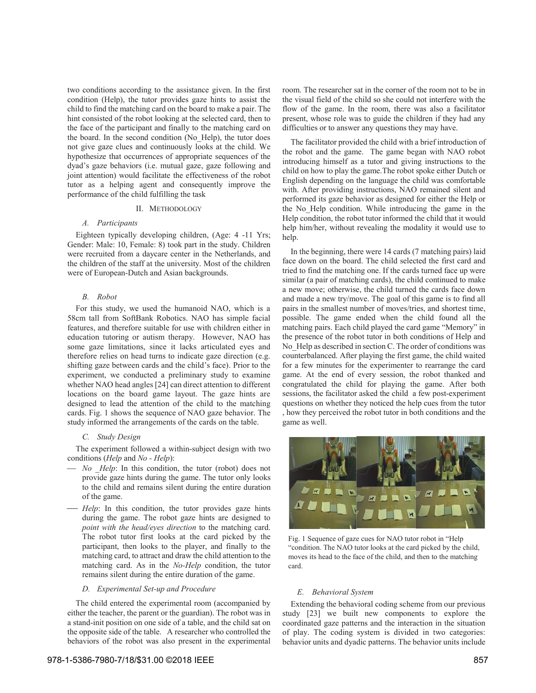two conditions according to the assistance given. In the first condition (Help), the tutor provides gaze hints to assist the child to find the matching card on the board to make a pair. The hint consisted of the robot looking at the selected card, then to the face of the participant and finally to the matching card on the board. In the second condition (No\_Help), the tutor does not give gaze clues and continuously looks at the child. We hypothesize that occurrences of appropriate sequences of the dyad's gaze behaviors (i.e. mutual gaze, gaze following and joint attention) would facilitate the effectiveness of the robot tutor as a helping agent and consequently improve the performance of the child fulfilling the task

## II. METHODOLOGY

## *A. Participants*

Eighteen typically developing children, (Age: 4 -11 Yrs; Gender: Male: 10, Female: 8) took part in the study. Children were recruited from a daycare center in the Netherlands, and the children of the staff at the university. Most of the children were of European-Dutch and Asian backgrounds.

## *B. Robot*

For this study, we used the humanoid NAO, which is a 58cm tall from SoftBank Robotics. NAO has simple facial features, and therefore suitable for use with children either in education tutoring or autism therapy. However, NAO has some gaze limitations, since it lacks articulated eyes and therefore relies on head turns to indicate gaze direction (e.g. shifting gaze between cards and the child's face). Prior to the experiment, we conducted a preliminary study to examine whether NAO head angles [24] can direct attention to different locations on the board game layout. The gaze hints are designed to lead the attention of the child to the matching cards. Fig. 1 shows the sequence of NAO gaze behavior. The study informed the arrangements of the cards on the table.

## *C. Study Design*

The experiment followed a within-subject design with two conditions (*Help* and *No - Help*):

- *No \_Help*: In this condition, the tutor (robot) does not provide gaze hints during the game. The tutor only looks to the child and remains silent during the entire duration of the game.
- *Help*: In this condition, the tutor provides gaze hints during the game. The robot gaze hints are designed to *point with the head/eyes direction* to the matching card. The robot tutor first looks at the card picked by the participant, then looks to the player, and finally to the matching card, to attract and draw the child attention to the matching card. As in the *No-Help* condition, the tutor remains silent during the entire duration of the game.

## *D. Experimental Set-up and Procedure*

The child entered the experimental room (accompanied by either the teacher, the parent or the guardian). The robot was in a stand-init position on one side of a table, and the child sat on the opposite side of the table. A researcher who controlled the behaviors of the robot was also present in the experimental room. The researcher sat in the corner of the room not to be in the visual field of the child so she could not interfere with the flow of the game. In the room, there was also a facilitator present, whose role was to guide the children if they had any difficulties or to answer any questions they may have.

The facilitator provided the child with a brief introduction of the robot and the game. The game began with NAO robot introducing himself as a tutor and giving instructions to the child on how to play the game.The robot spoke either Dutch or English depending on the language the child was comfortable with. After providing instructions, NAO remained silent and performed its gaze behavior as designed for either the Help or the No\_Help condition. While introducing the game in the Help condition, the robot tutor informed the child that it would help him/her, without revealing the modality it would use to help.

In the beginning, there were 14 cards (7 matching pairs) laid face down on the board. The child selected the first card and tried to find the matching one. If the cards turned face up were similar (a pair of matching cards), the child continued to make a new move; otherwise, the child turned the cards face down and made a new try/move. The goal of this game is to find all pairs in the smallest number of moves/tries, and shortest time, possible. The game ended when the child found all the matching pairs. Each child played the card game "Memory" in the presence of the robot tutor in both conditions of Help and No Help as described in section C. The order of conditions was counterbalanced. After playing the first game, the child waited for a few minutes for the experimenter to rearrange the card game. At the end of every session, the robot thanked and congratulated the child for playing the game. After both sessions, the facilitator asked the child a few post-experiment questions on whether they noticed the help cues from the tutor , how they perceived the robot tutor in both conditions and the game as well.



Fig. 1 Sequence of gaze cues for NAO tutor robot in "Help "condition. The NAO tutor looks at the card picked by the child, moves its head to the face of the child, and then to the matching card.

# *E. Behavioral System*

Extending the behavioral coding scheme from our previous study [23] we built new components to explore the coordinated gaze patterns and the interaction in the situation of play. The coding system is divided in two categories: behavior units and dyadic patterns. The behavior units include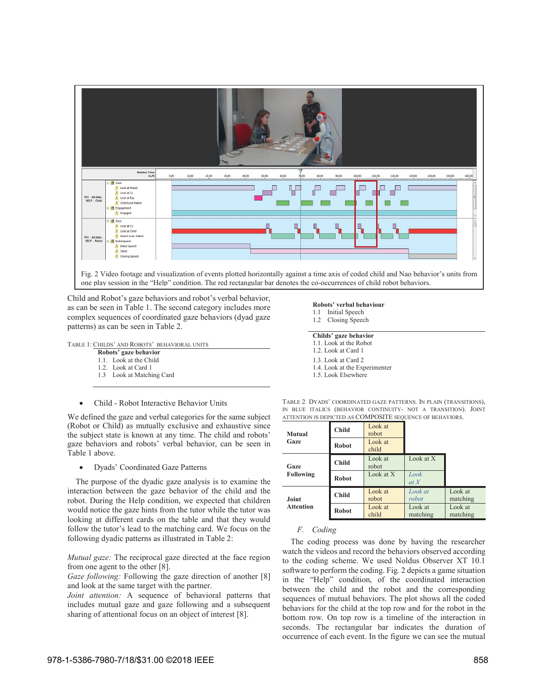

one play session in the "Help" condition. The red rectangular bar denotes the co-occurrences of child robot behaviors.

Child and Robot's gaze behaviors and robot's verbal behavior, as can be seen in Table 1. The second category includes more complex sequences of coordinated gaze behaviors (dyad gaze patterns) as can be seen in Table 2.

TABLE 1: CHILDS' AND ROBOTS' BEHAVIORAL UNITS

- **Robots' gaze behavior**
- 1.1. Look at the Child 1.2. Look at Card 1
- 1.3 Look at Matching Card
- Child Robot Interactive Behavior Units

We defined the gaze and verbal categories for the same subject (Robot or Child) as mutually exclusive and exhaustive since the subject state is known at any time. The child and robots' gaze behaviors and robots' verbal behavior, can be seen in Table 1 above.

• Dyads' Coordinated Gaze Patterns

The purpose of the dyadic gaze analysis is to examine the interaction between the gaze behavior of the child and the robot. During the Help condition, we expected that children would notice the gaze hints from the tutor while the tutor was looking at different cards on the table and that they would follow the tutor's lead to the matching card. We focus on the following dyadic patterns as illustrated in Table 2:

*Mutual gaze:* The reciprocal gaze directed at the face region from one agent to the other [8].

*Gaze following:* Following the gaze direction of another [8] and look at the same target with the partner.

*Joint attention:* A sequence of behavioral patterns that includes mutual gaze and gaze following and a subsequent sharing of attentional focus on an object of interest [8].

### **Robots' verbal behaviour**

- 1.1 Initial Speech
- 1.2 Closing Speech

## **Childs' gaze behavior**

- 1.1. Look at the Robot
- 1.2. Look at Card 1
- 1.3. Look at Card 2
- 1.4. Look at the Experimenter
- 1.5. Look Elsewhere

| ATTENTION IS DEPICTED AS COMPOSITE SEQUENCE OF BEHAVIORS. |              |                  |                     |                     |  |  |  |
|-----------------------------------------------------------|--------------|------------------|---------------------|---------------------|--|--|--|
| Mutual<br>Gaze                                            | <b>Child</b> | Look at<br>robot |                     |                     |  |  |  |
|                                                           | <b>Robot</b> | Look at<br>child |                     |                     |  |  |  |
| Gaze<br><b>Following</b>                                  | <b>Child</b> | Look at<br>robot | Look at X           |                     |  |  |  |
|                                                           | <b>Robot</b> | Look at X        | Look<br>at X        |                     |  |  |  |
| Joint<br><b>Attention</b>                                 | <b>Child</b> | Look at<br>robot | Look at<br>robot    | Look at<br>matching |  |  |  |
|                                                           | <b>Robot</b> | Look at<br>child | Look at<br>matching | Look at<br>matching |  |  |  |

TABLE 2 DYADS' COORDINATED GAZE PATTERNS. IN PLAIN (TRANSITIONS), IN BLUE ITALICS (BEHAVIOR CONTINUITY- NOT A TRANSITION). JOINT

# *F. Coding*

The coding process was done by having the researcher watch the videos and record the behaviors observed according to the coding scheme. We used Noldus Observer XT 10.1 software to perform the coding. Fig. 2 depicts a game situation in the "Help" condition, of the coordinated interaction between the child and the robot and the corresponding sequences of mutual behaviors. The plot shows all the coded behaviors for the child at the top row and for the robot in the bottom row. On top row is a timeline of the interaction in seconds. The rectangular bar indicates the duration of occurrence of each event. In the figure we can see the mutual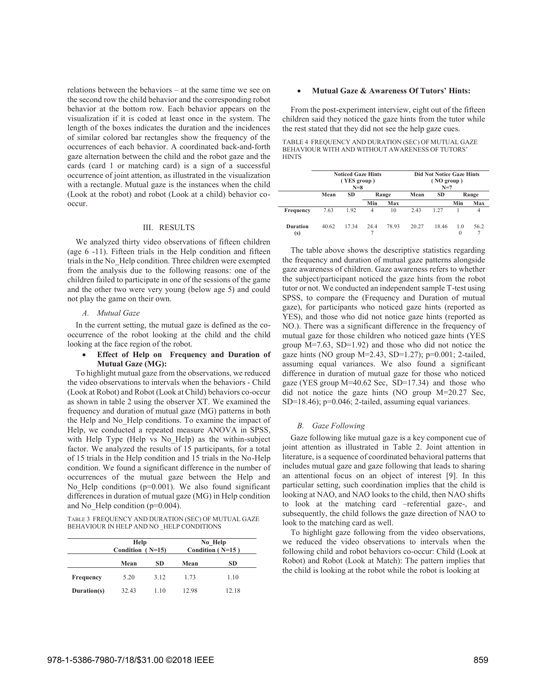relations between the behaviors – at the same time we see on the second row the child behavior and the corresponding robot behavior at the bottom row. Each behavior appears on the visualization if it is coded at least once in the system. The length of the boxes indicates the duration and the incidences of similar colored bar rectangles show the frequency of the occurrences of each behavior. A coordinated back-and-forth gaze alternation between the child and the robot gaze and the cards (card 1 or matching card) is a sign of a successful occurrence of joint attention, as illustrated in the visualization with a rectangle. Mutual gaze is the instances when the child (Look at the robot) and robot (Look at a child) behavior cooccur.

# III. RESULTS

We analyzed thirty video observations of fifteen children (age 6 -11). Fifteen trials in the Help condition and fifteen trials in the No\_Help condition. Three children were exempted from the analysis due to the following reasons: one of the children failed to participate in one of the sessions of the game and the other two were very young (below age 5) and could not play the game on their own.

## *A. Mutual Gaze*

In the current setting, the mutual gaze is defined as the cooccurrence of the robot looking at the child and the child looking at the face region of the robot.

# x **Effect of Help on Frequency and Duration of Mutual Gaze (MG):**

To highlight mutual gaze from the observations, we reduced the video observations to intervals when the behaviors - Child (Look at Robot) and Robot (Look at Child) behaviors co-occur as shown in table 2 using the observer XT. We examined the frequency and duration of mutual gaze (MG) patterns in both the Help and No\_Help conditions. To examine the impact of Help, we conducted a repeated measure ANOVA in SPSS, with Help Type (Help vs No Help) as the within-subject factor. We analyzed the results of 15 participants, for a total of 15 trials in the Help condition and 15 trials in the No-Help condition. We found a significant difference in the number of occurrences of the mutual gaze between the Help and No Help conditions ( $p=0.001$ ). We also found significant differences in duration of mutual gaze (MG) in Help condition and No Help condition ( $p=0.004$ ).

TABLE 3 FREQUENCY AND DURATION (SEC) OF MUTUAL GAZE BEHAVIOUR IN HELP AND NO \_HELP CONDITIONS

|             | Help<br>Condition $(N=15)$ |      | No Help<br>Condition $(N=15)$ |       |  |
|-------------|----------------------------|------|-------------------------------|-------|--|
|             | Mean                       | SD   | Mean                          | SD    |  |
| Frequency   | 5.20                       | 3.12 | 1.73                          | 1.10  |  |
| Duration(s) | 32.43                      | 110  | 12.98                         | 12.18 |  |

## x **Mutual Gaze & Awareness Of Tutors' Hints:**

From the post-experiment interview, eight out of the fifteen children said they noticed the gaze hints from the tutor while the rest stated that they did not see the help gaze cues.

TABLE 4 FREQUENCY AND DURATION (SEC) OF MUTUAL GAZE BEHAVIOUR WITH AND WITHOUT AWARENESS OF TUTORS' **HINTS** 

|                 | <b>Noticed Gaze Hints</b><br>(YES group)<br>$N=8$ |           |       |       |       | <b>Did Not Notice Gaze Hints</b><br>(NO group)<br>$N=7$ |         |      |  |
|-----------------|---------------------------------------------------|-----------|-------|-------|-------|---------------------------------------------------------|---------|------|--|
|                 | Mean                                              | <b>SD</b> | Range |       | Mean  | <b>SD</b><br>Range                                      |         |      |  |
|                 |                                                   |           | Min   | Max   |       |                                                         | Min     | Max  |  |
| Frequency       | 7.63                                              | 1.92      | 4     | 10    | 2.43  | 1 27                                                    |         | 4    |  |
| Duration<br>(s) | 40.62                                             | 17.34     | 24.4  | 78.93 | 20 27 | 18.46                                                   | 10<br>0 | 56.2 |  |

The table above shows the descriptive statistics regarding the frequency and duration of mutual gaze patterns alongside gaze awareness of children. Gaze awareness refers to whether the subject/participant noticed the gaze hints from the robot tutor or not. We conducted an independent sample T-test using SPSS, to compare the (Frequency and Duration of mutual gaze), for participants who noticed gaze hints (reported as YES), and those who did not notice gaze hints (reported as NO.). There was a significant difference in the frequency of mutual gaze for those children who noticed gaze hints (YES group M=7.63, SD=1.92) and those who did not notice the gaze hints (NO group  $M=2.43$ , SD=1.27); p=0.001; 2-tailed, assuming equal variances. We also found a significant difference in duration of mutual gaze for those who noticed gaze (YES group M=40.62 Sec, SD=17.34) and those who did not notice the gaze hints (NO group M=20.27 Sec, SD=18.46);  $p=0.046$ ; 2-tailed, assuming equal variances.

### *B. Gaze Following*

Gaze following like mutual gaze is a key component cue of joint attention as illustrated in Table 2. Joint attention in literature, is a sequence of coordinated behavioral patterns that includes mutual gaze and gaze following that leads to sharing an attentional focus on an object of interest [9]. In this particular setting, such coordination implies that the child is looking at NAO, and NAO looks to the child, then NAO shifts to look at the matching card –referential gaze-, and subsequently, the child follows the gaze direction of NAO to look to the matching card as well.

To highlight gaze following from the video observations, we reduced the video observations to intervals when the following child and robot behaviors co-occur: Child (Look at Robot) and Robot (Look at Match): The pattern implies that the child is looking at the robot while the robot is looking at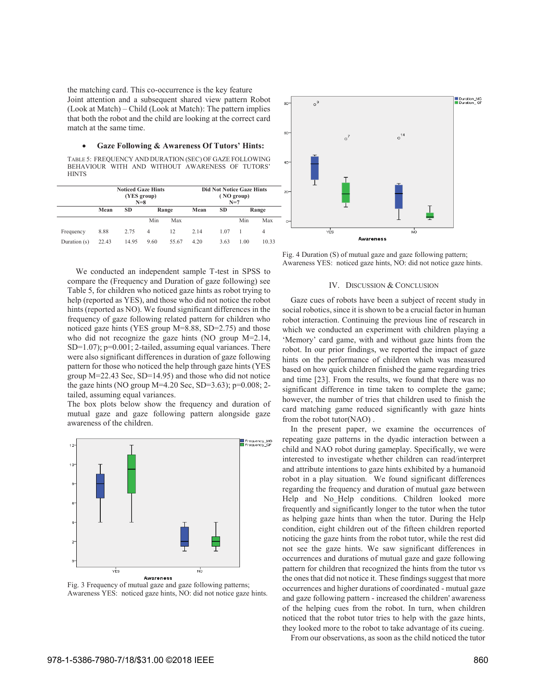the matching card. This co-occurrence is the key feature Joint attention and a subsequent shared view pattern Robot (Look at Match) – Child (Look at Match): The pattern implies that both the robot and the child are looking at the correct card match at the same time.

### Gaze Following & Awareness Of Tutors' Hints:

TABLE 5: FREQUENCY AND DURATION (SEC) OF GAZE FOLLOWING BEHAVIOUR WITH AND WITHOUT AWARENESS OF TUTORS' **HINTS** 

|              | <b>Noticed Gaze Hints</b><br>(YES group)<br>$N=8$ |           |       |       | <b>Did Not Notice Gaze Hints</b> | (NO group)<br>$N=7$ |      |       |
|--------------|---------------------------------------------------|-----------|-------|-------|----------------------------------|---------------------|------|-------|
|              | Mean                                              | <b>SD</b> | Range |       | Mean                             | <b>SD</b><br>Range  |      |       |
|              |                                                   |           | Min   | Max   |                                  |                     | Min  | Max   |
| Frequency    | 8.88                                              | 2.75      | 4     | 12    | 2.14                             | 1.07                |      | 4     |
| Duration (s) | 22.43                                             | 14.95     | 9.60  | 55.67 | 4.20                             | 3.63                | 1.00 | 10.33 |

We conducted an independent sample T-test in SPSS to compare the (Frequency and Duration of gaze following) see Table 5, for children who noticed gaze hints as robot trying to help (reported as YES), and those who did not notice the robot hints (reported as NO). We found significant differences in the frequency of gaze following related pattern for children who noticed gaze hints (YES group M=8.88, SD=2.75) and those who did not recognize the gaze hints (NO group M=2.14, SD=1.07); p=0.001; 2-tailed, assuming equal variances. There were also significant differences in duration of gaze following pattern for those who noticed the help through gaze hints (YES group M=22.43 Sec, SD=14.95) and those who did not notice the gaze hints (NO group M=4.20 Sec, SD=3.63); p=0.008; 2 tailed, assuming equal variances.

The box plots below show the frequency and duration of mutual gaze and gaze following pattern alongside gaze awareness of the children.



Fig. 3 Frequency of mutual gaze and gaze following patterns; Awareness YES: noticed gaze hints, NO: did not notice gaze hints.



Fig. 4 Duration (S) of mutual gaze and gaze following pattern; Awareness YES: noticed gaze hints, NO: did not notice gaze hints.

### IV. DISCUSSION & CONCLUSION

Gaze cues of robots have been a subject of recent study in social robotics, since it is shown to be a crucial factor in human robot interaction. Continuing the previous line of research in which we conducted an experiment with children playing a 'Memory' card game, with and without gaze hints from the robot. In our prior findings, we reported the impact of gaze hints on the performance of children which was measured based on how quick children finished the game regarding tries and time [23]. From the results, we found that there was no significant difference in time taken to complete the game; however, the number of tries that children used to finish the card matching game reduced significantly with gaze hints from the robot tutor(NAO) .

In the present paper, we examine the occurrences of repeating gaze patterns in the dyadic interaction between a child and NAO robot during gameplay. Specifically, we were interested to investigate whether children can read/interpret and attribute intentions to gaze hints exhibited by a humanoid robot in a play situation. We found significant differences regarding the frequency and duration of mutual gaze between Help and No Help conditions. Children looked more frequently and significantly longer to the tutor when the tutor as helping gaze hints than when the tutor. During the Help condition, eight children out of the fifteen children reported noticing the gaze hints from the robot tutor, while the rest did not see the gaze hints. We saw significant differences in occurrences and durations of mutual gaze and gaze following pattern for children that recognized the hints from the tutor vs the ones that did not notice it. These findings suggest that more occurrences and higher durations of coordinated - mutual gaze and gaze following pattern - increased the children' awareness of the helping cues from the robot. In turn, when children noticed that the robot tutor tries to help with the gaze hints, they looked more to the robot to take advantage of its cueing.

From our observations, as soon as the child noticed the tutor